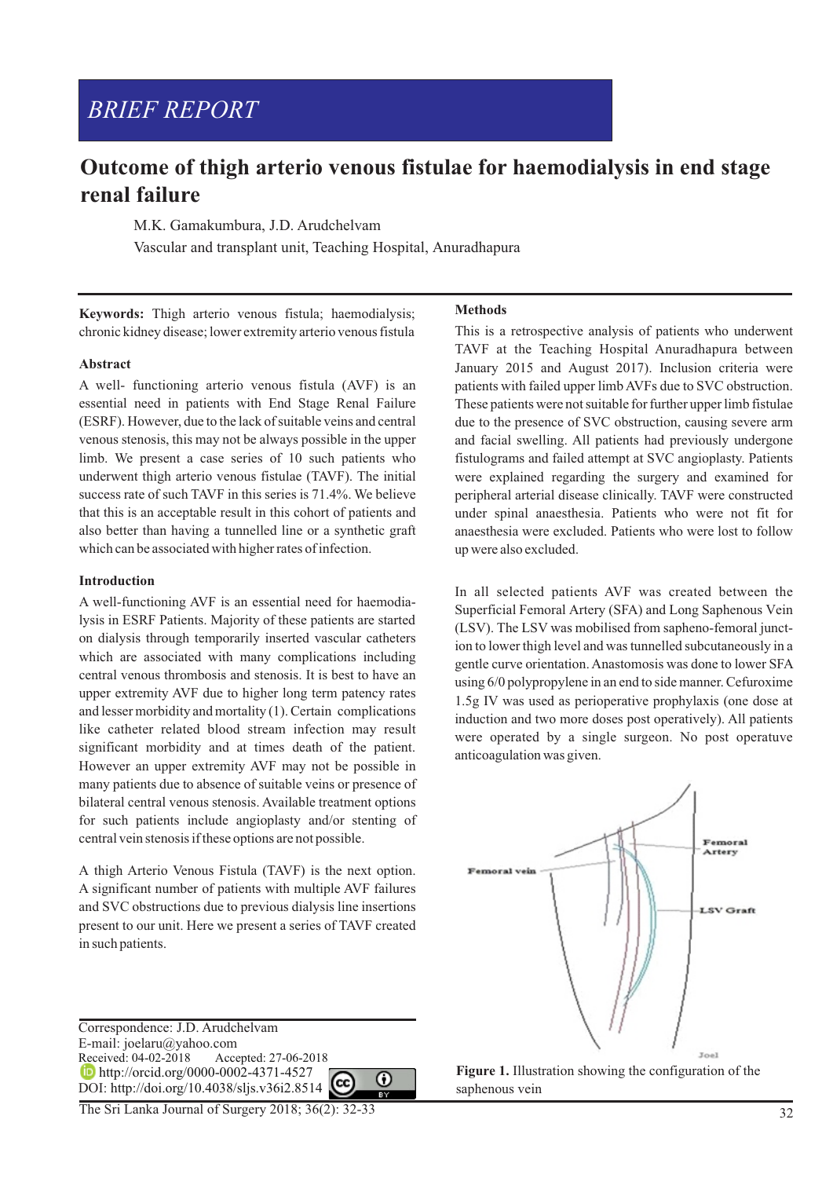# *BRIEF REPORT*

## **Outcome of thigh arterio venous fistulae for haemodialysis in end stage renal failure**

M.K. Gamakumbura, J.D. Arudchelvam

Vascular and transplant unit, Teaching Hospital, Anuradhapura

**Keywords:** Thigh arterio venous fistula; haemodialysis; chronic kidney disease; lower extremity arterio venous fistula

## **Abstract**

A well- functioning arterio venous fistula (AVF) is an essential need in patients with End Stage Renal Failure (ESRF). However, due to the lack of suitable veins and central venous stenosis, this may not be always possible in the upper limb. We present a case series of 10 such patients who underwent thigh arterio venous fistulae (TAVF). The initial success rate of such TAVF in this series is 71.4%. We believe that this is an acceptable result in this cohort of patients and also better than having a tunnelled line or a synthetic graft which can be associated with higher rates of infection.

#### **Introduction**

A well-functioning AVF is an essential need for haemodialysis in ESRF Patients. Majority of these patients are started on dialysis through temporarily inserted vascular catheters which are associated with many complications including central venous thrombosis and stenosis. It is best to have an upper extremity AVF due to higher long term patency rates and lesser morbidity and mortality (1). Certain complications like catheter related blood stream infection may result significant morbidity and at times death of the patient. However an upper extremity AVF may not be possible in many patients due to absence of suitable veins or presence of bilateral central venous stenosis. Available treatment options for such patients include angioplasty and/or stenting of central vein stenosis if these options are not possible.

A thigh Arterio Venous Fistula (TAVF) is the next option. A significant number of patients with multiple AVF failures and SVC obstructions due to previous dialysis line insertions present to our unit. Here we present a series of TAVF created in such patients.

**Methods** 

This is a retrospective analysis of patients who underwent TAVF at the Teaching Hospital Anuradhapura between January 2015 and August 2017). Inclusion criteria were patients with failed upper limb AVFs due to SVC obstruction. These patients were not suitable for further upper limb fistulae due to the presence of SVC obstruction, causing severe arm and facial swelling. All patients had previously undergone fistulograms and failed attempt at SVC angioplasty. Patients were explained regarding the surgery and examined for peripheral arterial disease clinically. TAVF were constructed under spinal anaesthesia. Patients who were not fit for anaesthesia were excluded. Patients who were lost to follow up were also excluded.

In all selected patients AVF was created between the Superficial Femoral Artery (SFA) and Long Saphenous Vein (LSV). The LSV was mobilised from sapheno-femoral junction to lower thigh level and was tunnelled subcutaneously in a gentle curve orientation. Anastomosis was done to lower SFA using 6/0 polypropylene in an end to side manner. Cefuroxime 1.5g IV was used as perioperative prophylaxis (one dose at induction and two more doses post operatively). All patients were operated by a single surgeon. No post operatuve anticoagulation was given.



saphenous vein

Correspondence: J.D. Arudchelvam E-mail: joelaru@yahoo.com<br>Received: 04-02-2018 Acce Accepted: 27-06-2018 **http://orcid.org/0000-0002-4371-4527** DOI: http://doi.org/10.4038/sljs.v36i2.8514

 $\odot$ 

The Sri Lanka Journal of Surgery 2018; 36(2): 32-33